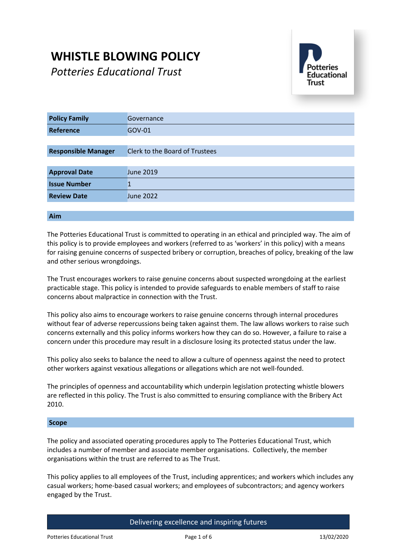# **WHISTLE BLOWING POLICY**

*Potteries Educational Trust*



| <b>Policy Family</b>       | Governance                            |
|----------------------------|---------------------------------------|
| Reference                  | GOV-01                                |
|                            |                                       |
| <b>Responsible Manager</b> | <b>Clerk to the Board of Trustees</b> |
|                            |                                       |
| <b>Approval Date</b>       | <b>June 2019</b>                      |
| <b>Issue Number</b>        |                                       |
| <b>Review Date</b>         | <b>June 2022</b>                      |
|                            |                                       |

# **Aim**

The Potteries Educational Trust is committed to operating in an ethical and principled way. The aim of this policy is to provide employees and workers (referred to as 'workers' in this policy) with a means for raising genuine concerns of suspected bribery or corruption, breaches of policy, breaking of the law and other serious wrongdoings.

The Trust encourages workers to raise genuine concerns about suspected wrongdoing at the earliest practicable stage. This policy is intended to provide safeguards to enable members of staff to raise concerns about malpractice in connection with the Trust.

This policy also aims to encourage workers to raise genuine concerns through internal procedures without fear of adverse repercussions being taken against them. The law allows workers to raise such concerns externally and this policy informs workers how they can do so. However, a failure to raise a concern under this procedure may result in a disclosure losing its protected status under the law.

This policy also seeks to balance the need to allow a culture of openness against the need to protect other workers against vexatious allegations or allegations which are not well-founded.

The principles of openness and accountability which underpin legislation protecting whistle blowers are reflected in this policy. The Trust is also committed to ensuring compliance with the Bribery Act 2010.

#### **Scope**

The policy and associated operating procedures apply to The Potteries Educational Trust, which includes a number of member and associate member organisations. Collectively, the member organisations within the trust are referred to as The Trust.

This policy applies to all employees of the Trust, including apprentices; and workers which includes any casual workers; home-based casual workers; and employees of subcontractors; and agency workers engaged by the Trust.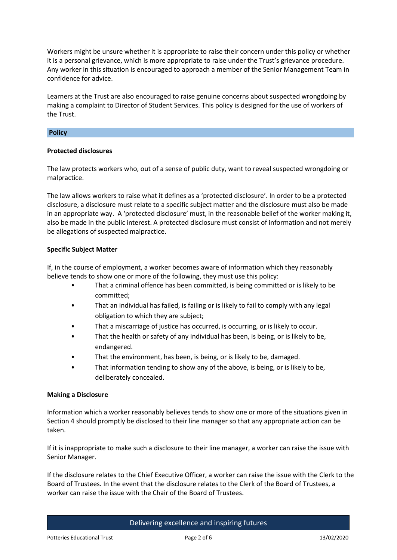Workers might be unsure whether it is appropriate to raise their concern under this policy or whether it is a personal grievance, which is more appropriate to raise under the Trust's grievance procedure. Any worker in this situation is encouraged to approach a member of the Senior Management Team in confidence for advice.

Learners at the Trust are also encouraged to raise genuine concerns about suspected wrongdoing by making a complaint to Director of Student Services. This policy is designed for the use of workers of the Trust.

## **Policy**

#### **Protected disclosures**

The law protects workers who, out of a sense of public duty, want to reveal suspected wrongdoing or malpractice.

The law allows workers to raise what it defines as a 'protected disclosure'. In order to be a protected disclosure, a disclosure must relate to a specific subject matter and the disclosure must also be made in an appropriate way. A 'protected disclosure' must, in the reasonable belief of the worker making it, also be made in the public interest. A protected disclosure must consist of information and not merely be allegations of suspected malpractice.

#### **Specific Subject Matter**

If, in the course of employment, a worker becomes aware of information which they reasonably believe tends to show one or more of the following, they must use this policy:

- That a criminal offence has been committed, is being committed or is likely to be committed;
- That an individual has failed, is failing or is likely to fail to comply with any legal obligation to which they are subject;
- That a miscarriage of justice has occurred, is occurring, or is likely to occur.
- That the health or safety of any individual has been, is being, or is likely to be, endangered.
- That the environment, has been, is being, or is likely to be, damaged.
- That information tending to show any of the above, is being, or is likely to be, deliberately concealed.

## **Making a Disclosure**

Information which a worker reasonably believes tends to show one or more of the situations given in Section 4 should promptly be disclosed to their line manager so that any appropriate action can be taken.

If it is inappropriate to make such a disclosure to their line manager, a worker can raise the issue with Senior Manager.

If the disclosure relates to the Chief Executive Officer, a worker can raise the issue with the Clerk to the Board of Trustees. In the event that the disclosure relates to the Clerk of the Board of Trustees, a worker can raise the issue with the Chair of the Board of Trustees.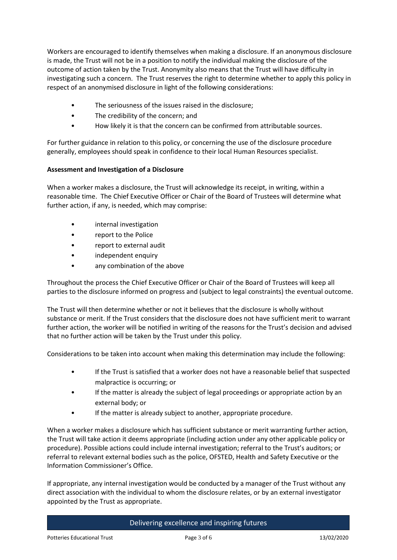Workers are encouraged to identify themselves when making a disclosure. If an anonymous disclosure is made, the Trust will not be in a position to notify the individual making the disclosure of the outcome of action taken by the Trust. Anonymity also means that the Trust will have difficulty in investigating such a concern. The Trust reserves the right to determine whether to apply this policy in respect of an anonymised disclosure in light of the following considerations:

- The seriousness of the issues raised in the disclosure;
- The credibility of the concern; and
- How likely it is that the concern can be confirmed from attributable sources.

For further guidance in relation to this policy, or concerning the use of the disclosure procedure generally, employees should speak in confidence to their local Human Resources specialist.

# **Assessment and Investigation of a Disclosure**

When a worker makes a disclosure, the Trust will acknowledge its receipt, in writing, within a reasonable time. The Chief Executive Officer or Chair of the Board of Trustees will determine what further action, if any, is needed, which may comprise:

- internal investigation
- report to the Police
- report to external audit
- independent enquiry
- any combination of the above

Throughout the process the Chief Executive Officer or Chair of the Board of Trustees will keep all parties to the disclosure informed on progress and (subject to legal constraints) the eventual outcome.

The Trust will then determine whether or not it believes that the disclosure is wholly without substance or merit. If the Trust considers that the disclosure does not have sufficient merit to warrant further action, the worker will be notified in writing of the reasons for the Trust's decision and advised that no further action will be taken by the Trust under this policy.

Considerations to be taken into account when making this determination may include the following:

- If the Trust is satisfied that a worker does not have a reasonable belief that suspected malpractice is occurring; or
- If the matter is already the subject of legal proceedings or appropriate action by an external body; or
- If the matter is already subject to another, appropriate procedure.

When a worker makes a disclosure which has sufficient substance or merit warranting further action, the Trust will take action it deems appropriate (including action under any other applicable policy or procedure). Possible actions could include internal investigation; referral to the Trust's auditors; or referral to relevant external bodies such as the police, OFSTED, Health and Safety Executive or the Information Commissioner's Office.

If appropriate, any internal investigation would be conducted by a manager of the Trust without any direct association with the individual to whom the disclosure relates, or by an external investigator appointed by the Trust as appropriate.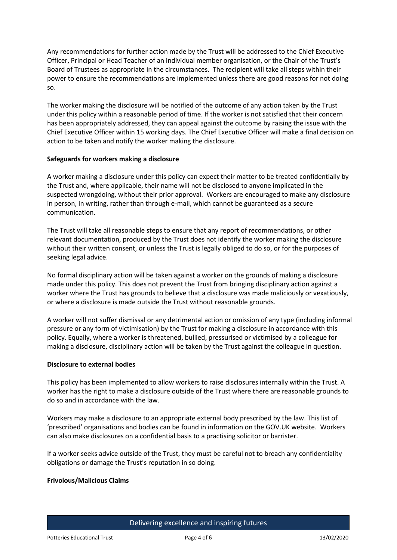Any recommendations for further action made by the Trust will be addressed to the Chief Executive Officer, Principal or Head Teacher of an individual member organisation, or the Chair of the Trust's Board of Trustees as appropriate in the circumstances. The recipient will take all steps within their power to ensure the recommendations are implemented unless there are good reasons for not doing so.

The worker making the disclosure will be notified of the outcome of any action taken by the Trust under this policy within a reasonable period of time. If the worker is not satisfied that their concern has been appropriately addressed, they can appeal against the outcome by raising the issue with the Chief Executive Officer within 15 working days. The Chief Executive Officer will make a final decision on action to be taken and notify the worker making the disclosure.

## **Safeguards for workers making a disclosure**

A worker making a disclosure under this policy can expect their matter to be treated confidentially by the Trust and, where applicable, their name will not be disclosed to anyone implicated in the suspected wrongdoing, without their prior approval. Workers are encouraged to make any disclosure in person, in writing, rather than through e-mail, which cannot be guaranteed as a secure communication.

The Trust will take all reasonable steps to ensure that any report of recommendations, or other relevant documentation, produced by the Trust does not identify the worker making the disclosure without their written consent, or unless the Trust is legally obliged to do so, or for the purposes of seeking legal advice.

No formal disciplinary action will be taken against a worker on the grounds of making a disclosure made under this policy. This does not prevent the Trust from bringing disciplinary action against a worker where the Trust has grounds to believe that a disclosure was made maliciously or vexatiously, or where a disclosure is made outside the Trust without reasonable grounds.

A worker will not suffer dismissal or any detrimental action or omission of any type (including informal pressure or any form of victimisation) by the Trust for making a disclosure in accordance with this policy. Equally, where a worker is threatened, bullied, pressurised or victimised by a colleague for making a disclosure, disciplinary action will be taken by the Trust against the colleague in question.

## **Disclosure to external bodies**

This policy has been implemented to allow workers to raise disclosures internally within the Trust. A worker has the right to make a disclosure outside of the Trust where there are reasonable grounds to do so and in accordance with the law.

Workers may make a disclosure to an appropriate external body prescribed by the law. This list of 'prescribed' organisations and bodies can be found in information on the GOV.UK website. Workers can also make disclosures on a confidential basis to a practising solicitor or barrister.

If a worker seeks advice outside of the Trust, they must be careful not to breach any confidentiality obligations or damage the Trust's reputation in so doing.

## **Frivolous/Malicious Claims**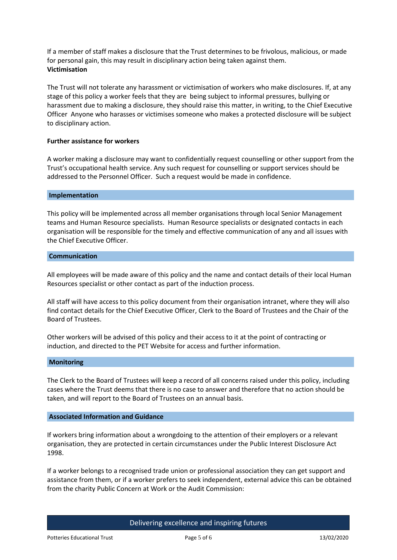If a member of staff makes a disclosure that the Trust determines to be frivolous, malicious, or made for personal gain, this may result in disciplinary action being taken against them. **Victimisation**

The Trust will not tolerate any harassment or victimisation of workers who make disclosures. If, at any stage of this policy a worker feels that they are being subject to informal pressures, bullying or harassment due to making a disclosure, they should raise this matter, in writing, to the Chief Executive Officer Anyone who harasses or victimises someone who makes a protected disclosure will be subject to disciplinary action.

#### **Further assistance for workers**

A worker making a disclosure may want to confidentially request counselling or other support from the Trust's occupational health service. Any such request for counselling or support services should be addressed to the Personnel Officer. Such a request would be made in confidence.

#### **Implementation**

This policy will be implemented across all member organisations through local Senior Management teams and Human Resource specialists. Human Resource specialists or designated contacts in each organisation will be responsible for the timely and effective communication of any and all issues with the Chief Executive Officer.

#### **Communication**

All employees will be made aware of this policy and the name and contact details of their local Human Resources specialist or other contact as part of the induction process.

All staff will have access to this policy document from their organisation intranet, where they will also find contact details for the Chief Executive Officer, Clerk to the Board of Trustees and the Chair of the Board of Trustees.

Other workers will be advised of this policy and their access to it at the point of contracting or induction, and directed to the PET Website for access and further information.

#### **Monitoring**

The Clerk to the Board of Trustees will keep a record of all concerns raised under this policy, including cases where the Trust deems that there is no case to answer and therefore that no action should be taken, and will report to the Board of Trustees on an annual basis.

#### **Associated Information and Guidance**

If workers bring information about a wrongdoing to the attention of their employers or a relevant organisation, they are protected in certain circumstances under the Public Interest Disclosure Act 1998.

If a worker belongs to a recognised trade union or professional association they can get support and assistance from them, or if a worker prefers to seek independent, external advice this can be obtained from the charity Public Concern at Work or the Audit Commission: